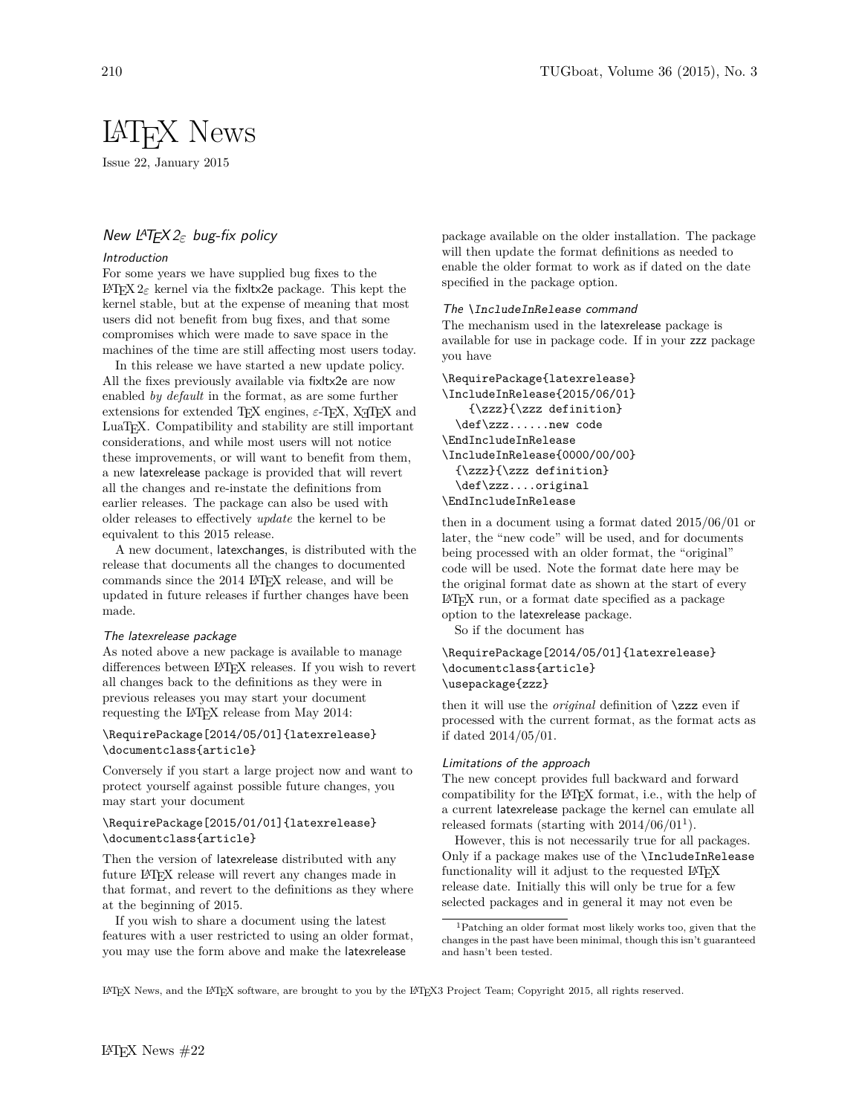# LATEX News

Issue 22, January 2015

# New LATEX 2*ε* bug-fix policy

## Introduction

For some years we have supplied bug fixes to the LATEX 2*ε* kernel via the fixltx2e package. This kept the kernel stable, but at the expense of meaning that most users did not benefit from bug fixes, and that some compromises which were made to save space in the machines of the time are still affecting most users today.

In this release we have started a new update policy. All the fixes previously available via fixltx2e are now enabled *by default* in the format, as are some further extensions for extended T<sub>E</sub>X engines,  $\varepsilon$ -T<sub>E</sub>X, X<sub>H</sub>T<sub>E</sub>X and LuaT<sub>E</sub>X. Compatibility and stability are still important considerations, and while most users will not notice these improvements, or will want to benefit from them, a new latexrelease package is provided that will revert all the changes and re-instate the definitions from earlier releases. The package can also be used with older releases to effectively *update* the kernel to be equivalent to this 2015 release.

A new document, latexchanges, is distributed with the release that documents all the changes to documented commands since the 2014 LATEX release, and will be updated in future releases if further changes have been made.

# The latexrelease package

As noted above a new package is available to manage differences between LATEX releases. If you wish to revert all changes back to the definitions as they were in previous releases you may start your document requesting the L<sup>AT</sup>EX release from May 2014:

## \RequirePackage[2014/05/01]{latexrelease} \documentclass{article}

Conversely if you start a large project now and want to protect yourself against possible future changes, you may start your document

# \RequirePackage[2015/01/01]{latexrelease} \documentclass{article}

Then the version of latexrelease distributed with any future IATEX release will revert any changes made in that format, and revert to the definitions as they where at the beginning of 2015.

If you wish to share a document using the latest features with a user restricted to using an older format, you may use the form above and make the latexrelease

package available on the older installation. The package will then update the format definitions as needed to enable the older format to work as if dated on the date specified in the package option.

#### The \IncludeInRelease command

The mechanism used in the latexrelease package is available for use in package code. If in your zzz package you have

```
\RequirePackage{latexrelease}
\IncludeInRelease{2015/06/01}
    {\zzz}{\zzz definition}
  \def\zzz......new code
\EndIncludeInRelease
\IncludeInRelease{0000/00/00}
  {\zzz}{\zzz definition}
  \def\zzz....original
\EndIncludeInRelease
```
then in a document using a format dated 2015/06/01 or later, the "new code" will be used, and for documents being processed with an older format, the "original" code will be used. Note the format date here may be the original format date as shown at the start of every LATEX run, or a format date specified as a package option to the latexrelease package.

So if the document has

## \RequirePackage[2014/05/01]{latexrelease} \documentclass{article} \usepackage{zzz}

then it will use the *original* definition of \zzz even if processed with the current format, as the format acts as if dated 2014/05/01.

#### Limitations of the approach

The new concept provides full backward and forward compatibility for the LATEX format, i.e., with the help of a current latexrelease package the kernel can emulate all released formats (starting with  $2014/06/01<sup>1</sup>$ ).

However, this is not necessarily true for all packages. Only if a package makes use of the \IncludeInRelease functionality will it adjust to the requested LAT<sub>EX</sub> release date. Initially this will only be true for a few selected packages and in general it may not even be

LATEX News, and the LATEX software, are brought to you by the LATEX3 Project Team; Copyright 2015, all rights reserved.

 $^1\mathsf{P}$  and older format most likely works too, given that the changes in the past have been minimal, though this isn't guaranteed and hasn't been tested.